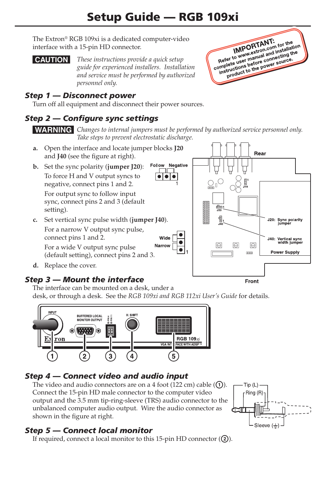# Setup Guide — RGB 109xi

The Extron® RGB 109xi is a dedicated computer-video interface with a 15-pin HD connector.

C *These instructions provide a quick setup guide for experienced installers. Installation and service must be performed by authorized personnel only.*

### *Step 1 — Disconnect power*

Turn off all equipment and disconnect their power sources.

#### *Step 2 — Configure sync settings*

**WARNING** Changes to internal jumpers must be performed by authorized service personnel only. *Take steps to prevent electrostatic discharge.*

- **a.**  Open the interface and locate jumper blocks **J20** and **J40** (see the figure at right).
- **b.**  Set the sync polarity (**jumper J20**): To force H and V output syncs to negative, connect pins 1 and 2. For output sync to follow input sync, connect pins 2 and 3 (default setting).
- **c.**  Set vertical sync pulse width (**jumper J40**). For a narrow V output sync pulse, connect pins 1 and 2. Wide Narrow For a wide V output sync pulse (default setting), connect pins 2 and 3.
- d. Replace the cover.

#### *Step 3 — Mount the interface*

Rear Follow Negative  $\bullet\bullet\bullet$ J20: Sync polarity<br>jumper J40: Vertical sync width jumper Θ  $\Theta$ **Power Supply Front** 

**IMPORTANT:**<br> **IMPORTANT:** for the<br>
Refer to www.extranual and installation<br>
Refer to meeting the comparation of the comparation. **IMPORTANT: IMPORTANT:** for the ion<br>
Refer to www.extron.com installand the<br>
Refer to user manual and installand the<br>
complete user manual and source. IMPOLATIon community<br>Refer to www.wextron.community.net<br>amplete user manual and community.org<br>instructions before power source. fer to www.sermanual annecting to<br>plete users before connecting to<br>structions before cower source.<br>product to the power source.

The interface can be mounted on a desk, under a desk, or through a desk. See the *RGB 109xi and RGB 112xi User's Guide* for details.



#### *Step 4 — Connect video and audio input*

The video and audio connectors are on a 4 foot (122 cm) cable  $(1)$ . Connect the 15-pin HD male connector to the computer video output and the 3.5 mm tip-ring-sleeve (TRS) audio connector to the unbalanced computer audio output. Wire the audio connector as shown in the figure at right.



#### *Step 5 — Connect local monitor*

If required, connect a local monitor to this 15-pin HD connector  $(Q)$ .